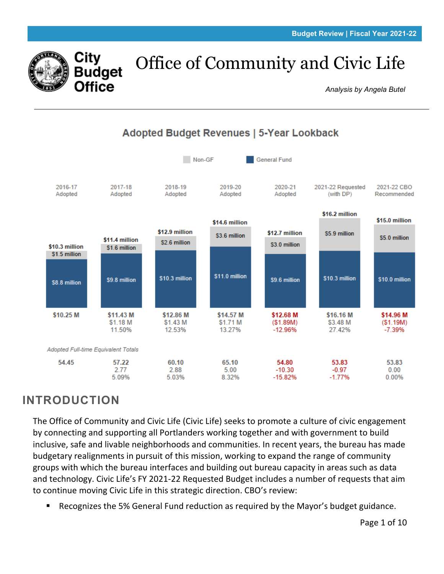

# Office of Community and Civic Life

*Analysis by Angela Butel*



## **Adopted Budget Revenues | 5-Year Lookback**

# **INTRODUCTION**

The Office of Community and Civic Life (Civic Life) seeks to promote a culture of civic engagement by connecting and supporting all Portlanders working together and with government to build inclusive, safe and livable neighborhoods and communities. In recent years, the bureau has made budgetary realignments in pursuit of this mission, working to expand the range of community groups with which the bureau interfaces and building out bureau capacity in areas such as data and technology. Civic Life's FY 2021-22 Requested Budget includes a number of requests that aim to continue moving Civic Life in this strategic direction. CBO's review:

Recognizes the 5% General Fund reduction as required by the Mayor's budget guidance.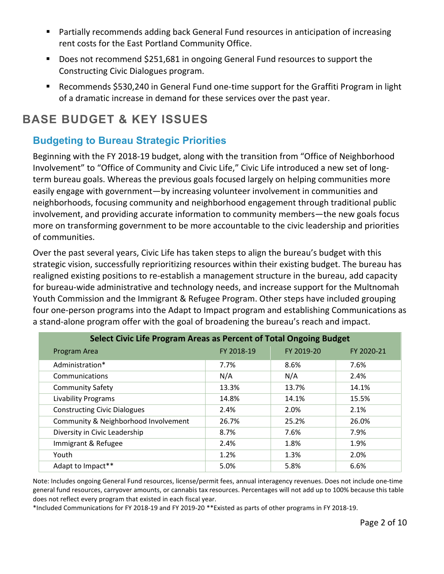- Partially recommends adding back General Fund resources in anticipation of increasing rent costs for the East Portland Community Office.
- Does not recommend \$251,681 in ongoing General Fund resources to support the Constructing Civic Dialogues program.
- Recommends \$530,240 in General Fund one-time support for the Graffiti Program in light of a dramatic increase in demand for these services over the past year.

# **BASE BUDGET & KEY ISSUES**

### **Budgeting to Bureau Strategic Priorities**

Beginning with the FY 2018-19 budget, along with the transition from "Office of Neighborhood Involvement" to "Office of Community and Civic Life," Civic Life introduced a new set of longterm bureau goals. Whereas the previous goals focused largely on helping communities more easily engage with government—by increasing volunteer involvement in communities and neighborhoods, focusing community and neighborhood engagement through traditional public involvement, and providing accurate information to community members—the new goals focus more on transforming government to be more accountable to the civic leadership and priorities of communities.

Over the past several years, Civic Life has taken steps to align the bureau's budget with this strategic vision, successfully reprioritizing resources within their existing budget. The bureau has realigned existing positions to re-establish a management structure in the bureau, add capacity for bureau-wide administrative and technology needs, and increase support for the Multnomah Youth Commission and the Immigrant & Refugee Program. Other steps have included grouping four one-person programs into the Adapt to Impact program and establishing Communications as a stand-alone program offer with the goal of broadening the bureau's reach and impact.

| Select Civic Life Program Areas as Percent of Total Ongoing Budget |            |            |            |  |  |  |  |  |
|--------------------------------------------------------------------|------------|------------|------------|--|--|--|--|--|
| Program Area                                                       | FY 2018-19 | FY 2019-20 | FY 2020-21 |  |  |  |  |  |
| Administration*                                                    | 7.7%       | 8.6%       | 7.6%       |  |  |  |  |  |
| Communications                                                     | N/A        | N/A        | 2.4%       |  |  |  |  |  |
| <b>Community Safety</b>                                            | 13.3%      | 13.7%      | 14.1%      |  |  |  |  |  |
| <b>Livability Programs</b>                                         | 14.8%      | 14.1%      | 15.5%      |  |  |  |  |  |
| <b>Constructing Civic Dialogues</b>                                | 2.4%       | 2.0%       | 2.1%       |  |  |  |  |  |
| Community & Neighborhood Involvement                               | 26.7%      | 25.2%      | 26.0%      |  |  |  |  |  |
| Diversity in Civic Leadership                                      | 8.7%       | 7.6%       | 7.9%       |  |  |  |  |  |
| Immigrant & Refugee                                                | 2.4%       | 1.8%       | 1.9%       |  |  |  |  |  |
| Youth                                                              | 1.2%       | 1.3%       | 2.0%       |  |  |  |  |  |
| Adapt to Impact**                                                  | 5.0%       | 5.8%       | 6.6%       |  |  |  |  |  |

Note: Includes ongoing General Fund resources, license/permit fees, annual interagency revenues. Does not include one-time general fund resources, carryover amounts, or cannabis tax resources. Percentages will not add up to 100% because this table does not reflect every program that existed in each fiscal year.

\*Included Communications for FY 2018-19 and FY 2019-20 \*\*Existed as parts of other programs in FY 2018-19.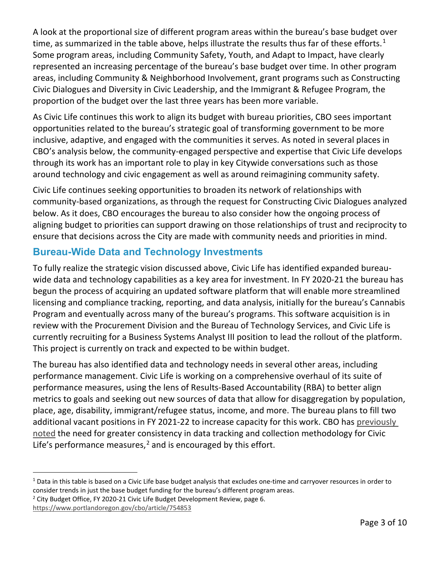A look at the proportional size of different program areas within the bureau's base budget over time, as summarized in the table above, helps illustrate the results thus far of these efforts.<sup>[1](#page-2-0)</sup> Some program areas, including Community Safety, Youth, and Adapt to Impact, have clearly represented an increasing percentage of the bureau's base budget over time. In other program areas, including Community & Neighborhood Involvement, grant programs such as Constructing Civic Dialogues and Diversity in Civic Leadership, and the Immigrant & Refugee Program, the proportion of the budget over the last three years has been more variable.

As Civic Life continues this work to align its budget with bureau priorities, CBO sees important opportunities related to the bureau's strategic goal of transforming government to be more inclusive, adaptive, and engaged with the communities it serves. As noted in several places in CBO's analysis below, the community-engaged perspective and expertise that Civic Life develops through its work has an important role to play in key Citywide conversations such as those around technology and civic engagement as well as around reimagining community safety.

Civic Life continues seeking opportunities to broaden its network of relationships with community-based organizations, as through the request for Constructing Civic Dialogues analyzed below. As it does, CBO encourages the bureau to also consider how the ongoing process of aligning budget to priorities can support drawing on those relationships of trust and reciprocity to ensure that decisions across the City are made with community needs and priorities in mind.

## **Bureau-Wide Data and Technology Investments**

To fully realize the strategic vision discussed above, Civic Life has identified expanded bureauwide data and technology capabilities as a key area for investment. In FY 2020-21 the bureau has begun the process of acquiring an updated software platform that will enable more streamlined licensing and compliance tracking, reporting, and data analysis, initially for the bureau's Cannabis Program and eventually across many of the bureau's programs. This software acquisition is in review with the Procurement Division and the Bureau of Technology Services, and Civic Life is currently recruiting for a Business Systems Analyst III position to lead the rollout of the platform. This project is currently on track and expected to be within budget.

The bureau has also identified data and technology needs in several other areas, including performance management. Civic Life is working on a comprehensive overhaul of its suite of performance measures, using the lens of Results-Based Accountability (RBA) to better align metrics to goals and seeking out new sources of data that allow for disaggregation by population, place, age, disability, immigrant/refugee status, income, and more. The bureau plans to fill two additional vacant positions in FY 2021-22 to increase capacity for this work. CBO has previously [noted](https://www.portlandoregon.gov/cbo/article/754853) the need for greater consistency in data tracking and collection methodology for Civic Life's performance measures, $<sup>2</sup>$  $<sup>2</sup>$  $<sup>2</sup>$  and is encouraged by this effort.</sup>

<span id="page-2-0"></span> $1$  Data in this table is based on a Civic Life base budget analysis that excludes one-time and carryover resources in order to consider trends in just the base budget funding for the bureau's different program areas.

<span id="page-2-1"></span><sup>&</sup>lt;sup>2</sup> City Budget Office, FY 2020-21 Civic Life Budget Development Review, page 6.

<https://www.portlandoregon.gov/cbo/article/754853>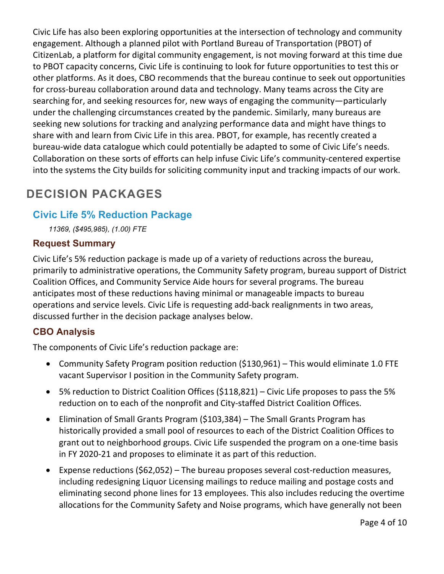Civic Life has also been exploring opportunities at the intersection of technology and community engagement. Although a planned pilot with Portland Bureau of Transportation (PBOT) of CitizenLab, a platform for digital community engagement, is not moving forward at this time due to PBOT capacity concerns, Civic Life is continuing to look for future opportunities to test this or other platforms. As it does, CBO recommends that the bureau continue to seek out opportunities for cross-bureau collaboration around data and technology. Many teams across the City are searching for, and seeking resources for, new ways of engaging the community—particularly under the challenging circumstances created by the pandemic. Similarly, many bureaus are seeking new solutions for tracking and analyzing performance data and might have things to share with and learn from Civic Life in this area. PBOT, for example, has recently created a bureau-wide data catalogue which could potentially be adapted to some of Civic Life's needs. Collaboration on these sorts of efforts can help infuse Civic Life's community-centered expertise into the systems the City builds for soliciting community input and tracking impacts of our work.

# **DECISION PACKAGES**

#### **Civic Life 5% Reduction Package**

*11369, (\$495,985), (1.00) FTE*

#### **Request Summary**

Civic Life's 5% reduction package is made up of a variety of reductions across the bureau, primarily to administrative operations, the Community Safety program, bureau support of District Coalition Offices, and Community Service Aide hours for several programs. The bureau anticipates most of these reductions having minimal or manageable impacts to bureau operations and service levels. Civic Life is requesting add-back realignments in two areas, discussed further in the decision package analyses below.

#### **CBO Analysis**

The components of Civic Life's reduction package are:

- Community Safety Program position reduction (\$130,961) This would eliminate 1.0 FTE vacant Supervisor I position in the Community Safety program.
- 5% reduction to District Coalition Offices (\$118,821) Civic Life proposes to pass the 5% reduction on to each of the nonprofit and City-staffed District Coalition Offices.
- Elimination of Small Grants Program (\$103,384) The Small Grants Program has historically provided a small pool of resources to each of the District Coalition Offices to grant out to neighborhood groups. Civic Life suspended the program on a one-time basis in FY 2020-21 and proposes to eliminate it as part of this reduction.
- Expense reductions (\$62,052) The bureau proposes several cost-reduction measures, including redesigning Liquor Licensing mailings to reduce mailing and postage costs and eliminating second phone lines for 13 employees. This also includes reducing the overtime allocations for the Community Safety and Noise programs, which have generally not been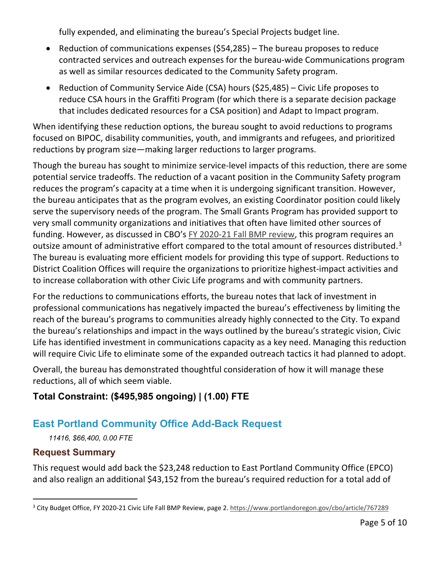fully expended, and eliminating the bureau's Special Projects budget line.

- Reduction of communications expenses (\$54,285) The bureau proposes to reduce contracted services and outreach expenses for the bureau-wide Communications program as well as similar resources dedicated to the Community Safety program.
- Reduction of Community Service Aide (CSA) hours (\$25,485) Civic Life proposes to reduce CSA hours in the Graffiti Program (for which there is a separate decision package that includes dedicated resources for a CSA position) and Adapt to Impact program.

When identifying these reduction options, the bureau sought to avoid reductions to programs focused on BIPOC, disability communities, youth, and immigrants and refugees, and prioritized reductions by program size—making larger reductions to larger programs.

Though the bureau has sought to minimize service-level impacts of this reduction, there are some potential service tradeoffs. The reduction of a vacant position in the Community Safety program reduces the program's capacity at a time when it is undergoing significant transition. However, the bureau anticipates that as the program evolves, an existing Coordinator position could likely serve the supervisory needs of the program. The Small Grants Program has provided support to very small community organizations and initiatives that often have limited other sources of funding. However, as discussed in CBO's [FY 2020-21 Fall BMP review,](https://www.portlandoregon.gov/cbo/article/767289) this program requires an outsize amount of administrative effort compared to the total amount of resources distributed.<sup>[3](#page-4-0)</sup> The bureau is evaluating more efficient models for providing this type of support. Reductions to District Coalition Offices will require the organizations to prioritize highest-impact activities and to increase collaboration with other Civic Life programs and with community partners.

For the reductions to communications efforts, the bureau notes that lack of investment in professional communications has negatively impacted the bureau's effectiveness by limiting the reach of the bureau's programs to communities already highly connected to the City. To expand the bureau's relationships and impact in the ways outlined by the bureau's strategic vision, Civic Life has identified investment in communications capacity as a key need. Managing this reduction will require Civic Life to eliminate some of the expanded outreach tactics it had planned to adopt.

Overall, the bureau has demonstrated thoughtful consideration of how it will manage these reductions, all of which seem viable.

## **Total Constraint: (\$495,985 ongoing) | (1.00) FTE**

## **East Portland Community Office Add-Back Request**

*11416, \$66,400, 0.00 FTE*

#### **Request Summary**

This request would add back the \$23,248 reduction to East Portland Community Office (EPCO) and also realign an additional \$43,152 from the bureau's required reduction for a total add of

<span id="page-4-0"></span><sup>&</sup>lt;sup>3</sup> City Budget Office, FY 2020-21 Civic Life Fall BMP Review, page 2[. https://www.portlandoregon.gov/cbo/article/767289](https://www.portlandoregon.gov/cbo/article/767289)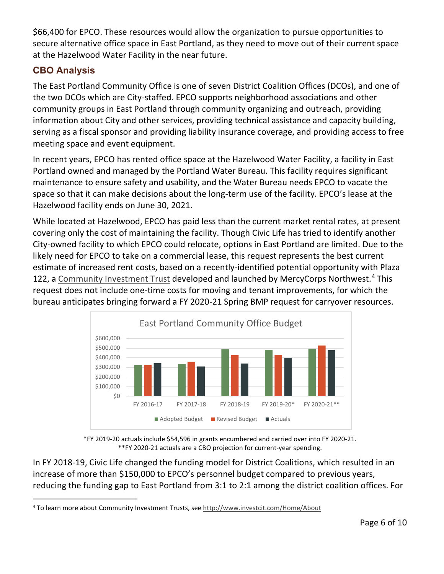\$66,400 for EPCO. These resources would allow the organization to pursue opportunities to secure alternative office space in East Portland, as they need to move out of their current space at the Hazelwood Water Facility in the near future.

## **CBO Analysis**

The East Portland Community Office is one of seven District Coalition Offices (DCOs), and one of the two DCOs which are City-staffed. EPCO supports neighborhood associations and other community groups in East Portland through community organizing and outreach, providing information about City and other services, providing technical assistance and capacity building, serving as a fiscal sponsor and providing liability insurance coverage, and providing access to free meeting space and event equipment.

In recent years, EPCO has rented office space at the Hazelwood Water Facility, a facility in East Portland owned and managed by the Portland Water Bureau. This facility requires significant maintenance to ensure safety and usability, and the Water Bureau needs EPCO to vacate the space so that it can make decisions about the long-term use of the facility. EPCO's lease at the Hazelwood facility ends on June 30, 2021.

While located at Hazelwood, EPCO has paid less than the current market rental rates, at present covering only the cost of maintaining the facility. Though Civic Life has tried to identify another City-owned facility to which EPCO could relocate, options in East Portland are limited. Due to the likely need for EPCO to take on a commercial lease, this request represents the best current estimate of increased rent costs, based on a recently-identified potential opportunity with Plaza 122, a [Community Investment Trust](http://www.investcit.com/Home/About) developed and launched by MercyCorps Northwest.<sup>[4](#page-5-0)</sup> This request does not include one-time costs for moving and tenant improvements, for which the bureau anticipates bringing forward a FY 2020-21 Spring BMP request for carryover resources.



\*FY 2019-20 actuals include \$54,596 in grants encumbered and carried over into FY 2020-21. \*\*FY 2020-21 actuals are a CBO projection for current-year spending.

In FY 2018-19, Civic Life changed the funding model for District Coalitions, which resulted in an increase of more than \$150,000 to EPCO's personnel budget compared to previous years, reducing the funding gap to East Portland from 3:1 to 2:1 among the district coalition offices. For

<span id="page-5-0"></span><sup>4</sup> To learn more about Community Investment Trusts, see<http://www.investcit.com/Home/About>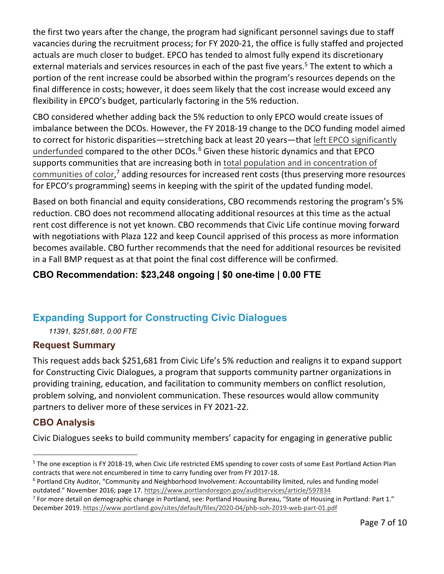the first two years after the change, the program had significant personnel savings due to staff vacancies during the recruitment process; for FY 2020-21, the office is fully staffed and projected actuals are much closer to budget. EPCO has tended to almost fully expend its discretionary external materials and services resources in each of the past five years.<sup>[5](#page-6-0)</sup> The extent to which a portion of the rent increase could be absorbed within the program's resources depends on the final difference in costs; however, it does seem likely that the cost increase would exceed any flexibility in EPCO's budget, particularly factoring in the 5% reduction.

CBO considered whether adding back the 5% reduction to only EPCO would create issues of imbalance between the DCOs. However, the FY 2018-19 change to the DCO funding model aimed to correct for historic disparities—stretching back at least 20 years—that [left EPCO significantly](https://www.portlandoregon.gov/auditservices/article/597834)  [underfunded](https://www.portlandoregon.gov/auditservices/article/597834) compared to the other DCOs.<sup>[6](#page-6-1)</sup> Given these historic dynamics and that EPCO supports communities that are increasing both in [total population and in concentration of](https://www.portland.gov/sites/default/files/2020-04/phb-soh-2019-web-part-01.pdf)  [communities of color,](https://www.portland.gov/sites/default/files/2020-04/phb-soh-2019-web-part-01.pdf)<sup>[7](#page-6-2)</sup> adding resources for increased rent costs (thus preserving more resources for EPCO's programming) seems in keeping with the spirit of the updated funding model.

Based on both financial and equity considerations, CBO recommends restoring the program's 5% reduction. CBO does not recommend allocating additional resources at this time as the actual rent cost difference is not yet known. CBO recommends that Civic Life continue moving forward with negotiations with Plaza 122 and keep Council apprised of this process as more information becomes available. CBO further recommends that the need for additional resources be revisited in a Fall BMP request as at that point the final cost difference will be confirmed.

## **CBO Recommendation: \$23,248 ongoing | \$0 one-time | 0.00 FTE**

## **Expanding Support for Constructing Civic Dialogues**

*11391, \$251,681, 0.00 FTE*

#### **Request Summary**

This request adds back \$251,681 from Civic Life's 5% reduction and realigns it to expand support for Constructing Civic Dialogues, a program that supports community partner organizations in providing training, education, and facilitation to community members on conflict resolution, problem solving, and nonviolent communication. These resources would allow community partners to deliver more of these services in FY 2021-22.

## **CBO Analysis**

Civic Dialogues seeks to build community members' capacity for engaging in generative public

<span id="page-6-0"></span><sup>&</sup>lt;sup>5</sup> The one exception is FY 2018-19, when Civic Life restricted EMS spending to cover costs of some East Portland Action Plan contracts that were not encumbered in time to carry funding over from FY 2017-18.

<span id="page-6-1"></span><sup>6</sup> Portland City Auditor, "Community and Neighborhood Involvement: Accountability limited, rules and funding model

<span id="page-6-2"></span>outdated." November 2016; page 17. https://www.portlandoregon.gov/auditservices/article/597834<br><sup>7</sup> For more detail on demographic change in Portland, see: Portland Housing Bureau, "State of Housing in Portland: Part 1." December 2019.<https://www.portland.gov/sites/default/files/2020-04/phb-soh-2019-web-part-01.pdf>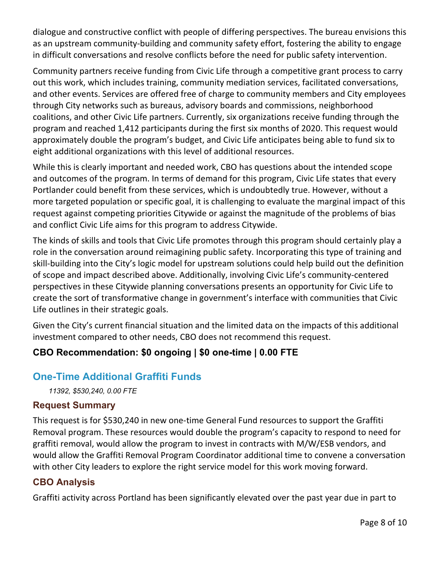dialogue and constructive conflict with people of differing perspectives. The bureau envisions this as an upstream community-building and community safety effort, fostering the ability to engage in difficult conversations and resolve conflicts before the need for public safety intervention.

Community partners receive funding from Civic Life through a competitive grant process to carry out this work, which includes training, community mediation services, facilitated conversations, and other events. Services are offered free of charge to community members and City employees through City networks such as bureaus, advisory boards and commissions, neighborhood coalitions, and other Civic Life partners. Currently, six organizations receive funding through the program and reached 1,412 participants during the first six months of 2020. This request would approximately double the program's budget, and Civic Life anticipates being able to fund six to eight additional organizations with this level of additional resources.

While this is clearly important and needed work, CBO has questions about the intended scope and outcomes of the program. In terms of demand for this program, Civic Life states that every Portlander could benefit from these services, which is undoubtedly true. However, without a more targeted population or specific goal, it is challenging to evaluate the marginal impact of this request against competing priorities Citywide or against the magnitude of the problems of bias and conflict Civic Life aims for this program to address Citywide.

The kinds of skills and tools that Civic Life promotes through this program should certainly play a role in the conversation around reimagining public safety. Incorporating this type of training and skill-building into the City's logic model for upstream solutions could help build out the definition of scope and impact described above. Additionally, involving Civic Life's community-centered perspectives in these Citywide planning conversations presents an opportunity for Civic Life to create the sort of transformative change in government's interface with communities that Civic Life outlines in their strategic goals.

Given the City's current financial situation and the limited data on the impacts of this additional investment compared to other needs, CBO does not recommend this request.

## **CBO Recommendation: \$0 ongoing | \$0 one-time | 0.00 FTE**

## **One-Time Additional Graffiti Funds**

*11392, \$530,240, 0.00 FTE*

#### **Request Summary**

This request is for \$530,240 in new one-time General Fund resources to support the Graffiti Removal program. These resources would double the program's capacity to respond to need for graffiti removal, would allow the program to invest in contracts with M/W/ESB vendors, and would allow the Graffiti Removal Program Coordinator additional time to convene a conversation with other City leaders to explore the right service model for this work moving forward.

#### **CBO Analysis**

Graffiti activity across Portland has been significantly elevated over the past year due in part to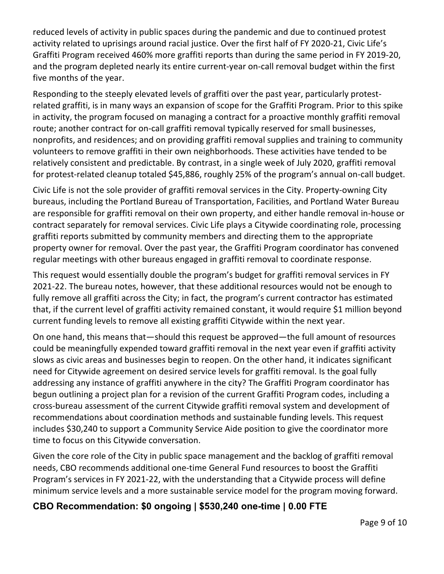reduced levels of activity in public spaces during the pandemic and due to continued protest activity related to uprisings around racial justice. Over the first half of FY 2020-21, Civic Life's Graffiti Program received 460% more graffiti reports than during the same period in FY 2019-20, and the program depleted nearly its entire current-year on-call removal budget within the first five months of the year.

Responding to the steeply elevated levels of graffiti over the past year, particularly protestrelated graffiti, is in many ways an expansion of scope for the Graffiti Program. Prior to this spike in activity, the program focused on managing a contract for a proactive monthly graffiti removal route; another contract for on-call graffiti removal typically reserved for small businesses, nonprofits, and residences; and on providing graffiti removal supplies and training to community volunteers to remove graffiti in their own neighborhoods. These activities have tended to be relatively consistent and predictable. By contrast, in a single week of July 2020, graffiti removal for protest-related cleanup totaled \$45,886, roughly 25% of the program's annual on-call budget.

Civic Life is not the sole provider of graffiti removal services in the City. Property-owning City bureaus, including the Portland Bureau of Transportation, Facilities, and Portland Water Bureau are responsible for graffiti removal on their own property, and either handle removal in-house or contract separately for removal services. Civic Life plays a Citywide coordinating role, processing graffiti reports submitted by community members and directing them to the appropriate property owner for removal. Over the past year, the Graffiti Program coordinator has convened regular meetings with other bureaus engaged in graffiti removal to coordinate response.

This request would essentially double the program's budget for graffiti removal services in FY 2021-22. The bureau notes, however, that these additional resources would not be enough to fully remove all graffiti across the City; in fact, the program's current contractor has estimated that, if the current level of graffiti activity remained constant, it would require \$1 million beyond current funding levels to remove all existing graffiti Citywide within the next year.

On one hand, this means that—should this request be approved—the full amount of resources could be meaningfully expended toward graffiti removal in the next year even if graffiti activity slows as civic areas and businesses begin to reopen. On the other hand, it indicates significant need for Citywide agreement on desired service levels for graffiti removal. Is the goal fully addressing any instance of graffiti anywhere in the city? The Graffiti Program coordinator has begun outlining a project plan for a revision of the current Graffiti Program codes, including a cross-bureau assessment of the current Citywide graffiti removal system and development of recommendations about coordination methods and sustainable funding levels. This request includes \$30,240 to support a Community Service Aide position to give the coordinator more time to focus on this Citywide conversation.

Given the core role of the City in public space management and the backlog of graffiti removal needs, CBO recommends additional one-time General Fund resources to boost the Graffiti Program's services in FY 2021-22, with the understanding that a Citywide process will define minimum service levels and a more sustainable service model for the program moving forward.

#### **CBO Recommendation: \$0 ongoing | \$530,240 one-time | 0.00 FTE**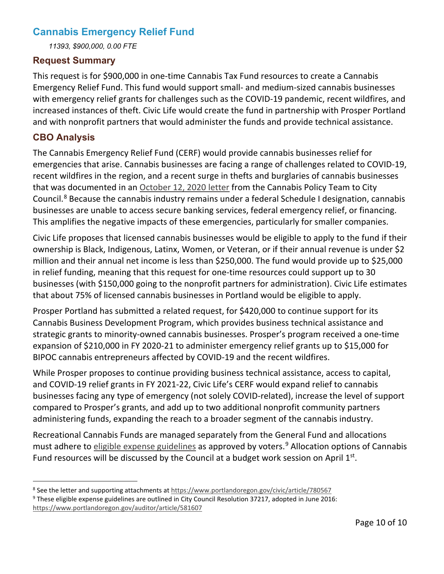#### **Cannabis Emergency Relief Fund**

*11393, \$900,000, 0.00 FTE*

#### **Request Summary**

This request is for \$900,000 in one-time Cannabis Tax Fund resources to create a Cannabis Emergency Relief Fund. This fund would support small- and medium-sized cannabis businesses with emergency relief grants for challenges such as the COVID-19 pandemic, recent wildfires, and increased instances of theft. Civic Life would create the fund in partnership with Prosper Portland and with nonprofit partners that would administer the funds and provide technical assistance.

#### **CBO Analysis**

The Cannabis Emergency Relief Fund (CERF) would provide cannabis businesses relief for emergencies that arise. Cannabis businesses are facing a range of challenges related to COVID-19, recent wildfires in the region, and a recent surge in thefts and burglaries of cannabis businesses that was documented in an [October 12, 2020 letter](https://www.portlandoregon.gov/civic/article/780567) from the Cannabis Policy Team to City Council.<sup>[8](#page-9-0)</sup> Because the cannabis industry remains under a federal Schedule I designation, cannabis businesses are unable to access secure banking services, federal emergency relief, or financing. This amplifies the negative impacts of these emergencies, particularly for smaller companies.

Civic Life proposes that licensed cannabis businesses would be eligible to apply to the fund if their ownership is Black, Indigenous, Latinx, Women, or Veteran, or if their annual revenue is under \$2 million and their annual net income is less than \$250,000. The fund would provide up to \$25,000 in relief funding, meaning that this request for one-time resources could support up to 30 businesses (with \$150,000 going to the nonprofit partners for administration). Civic Life estimates that about 75% of licensed cannabis businesses in Portland would be eligible to apply.

Prosper Portland has submitted a related request, for \$420,000 to continue support for its Cannabis Business Development Program, which provides business technical assistance and strategic grants to minority-owned cannabis businesses. Prosper's program received a one-time expansion of \$210,000 in FY 2020-21 to administer emergency relief grants up to \$15,000 for BIPOC cannabis entrepreneurs affected by COVID-19 and the recent wildfires.

While Prosper proposes to continue providing business technical assistance, access to capital, and COVID-19 relief grants in FY 2021-22, Civic Life's CERF would expand relief to cannabis businesses facing any type of emergency (not solely COVID-related), increase the level of support compared to Prosper's grants, and add up to two additional nonprofit community partners administering funds, expanding the reach to a broader segment of the cannabis industry.

Recreational Cannabis Funds are managed separately from the General Fund and allocations must adhere to [eligible expense guidelines](https://www.portlandoregon.gov/auditor/article/581607) as approved by voters.<sup>[9](#page-9-1)</sup> Allocation options of Cannabis Fund resources will be discussed by the Council at a budget work session on April  $1<sup>st</sup>$ .

<span id="page-9-0"></span><sup>&</sup>lt;sup>8</sup> See the letter and supporting attachments at<https://www.portlandoregon.gov/civic/article/780567> <sup>9</sup> These eligible expense guidelines are outlined in City Council Resolution 37217, adopted in June 2016:

<span id="page-9-1"></span><https://www.portlandoregon.gov/auditor/article/581607>